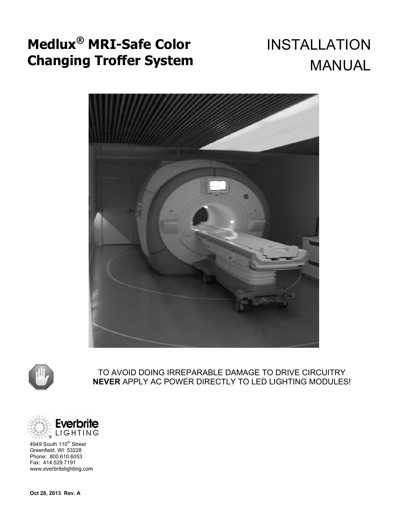# **Medlux® MRI-Safe Color Changing Troffer System**

# INSTALLATION MANUAL





TO AVOID DOING IRREPARABLE DAMAGE TO DRIVE CIRCUITRY **NEVER** APPLY AC POWER DIRECTLY TO LED LIGHTING MODULES!



4949 South 110<sup>th</sup> Street Greenfield, WI 53228 Phone: 800.610.6053 Fax: 414.529.7191 www.everbritelighting.com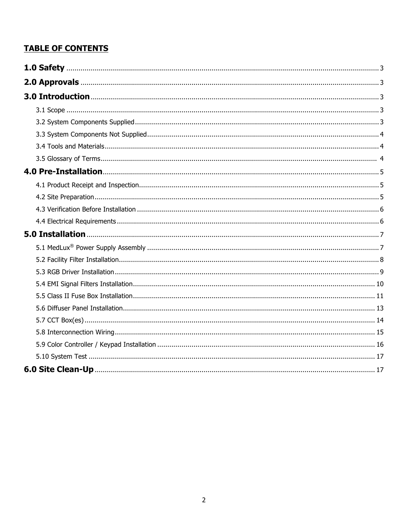### **TABLE OF CONTENTS**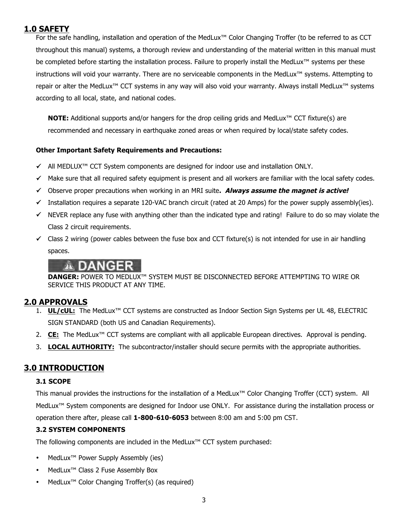#### **1.0 SAFETY**

For the safe handling, installation and operation of the MedLux™ Color Changing Troffer (to be referred to as CCT throughout this manual) systems, a thorough review and understanding of the material written in this manual must be completed before starting the installation process. Failure to properly install the MedLux™ systems per these instructions will void your warranty. There are no serviceable components in the MedLux™ systems. Attempting to repair or alter the MedLux™ CCT systems in any way will also void your warranty. Always install MedLux™ systems according to all local, state, and national codes.

**NOTE:** Additional supports and/or hangers for the drop ceiling grids and MedLux™ CCT fixture(s) are recommended and necessary in earthquake zoned areas or when required by local/state safety codes.

#### **Other Important Safety Requirements and Precautions:**

- All MEDLUX™ CCT System components are designed for indoor use and installation ONLY.
- $\checkmark$  Make sure that all required safety equipment is present and all workers are familiar with the local safety codes.
- Observe proper precautions when working in an MRI suite**. Always assume the magnet is active!**
- Installation requires a separate 120-VAC branch circuit (rated at 20 Amps) for the power supply assembly(ies).
- $\checkmark$  NEVER replace any fuse with anything other than the indicated type and rating! Failure to do so may violate the Class 2 circuit requirements.
- $\checkmark$  Class 2 wiring (power cables between the fuse box and CCT fixture(s) is not intended for use in air handling spaces.

### NGER

**DANGER:** POWER TO MEDLUX™ SYSTEM MUST BE DISCONNECTED BEFORE ATTEMPTING TO WIRE OR SERVICE THIS PRODUCT AT ANY TIME.

#### **2.0 APPROVALS**

- 1. **UL/cUL:** The MedLux™ CCT systems are constructed as Indoor Section Sign Systems per UL 48, ELECTRIC SIGN STANDARD (both US and Canadian Requirements).
- 2. **CE:** The MedLux™ CCT systems are compliant with all applicable European directives. Approval is pending.
- 3. **LOCAL AUTHORITY:** The subcontractor/installer should secure permits with the appropriate authorities.

#### **3.0 INTRODUCTION**

#### **3.1 SCOPE**

This manual provides the instructions for the installation of a MedLux™ Color Changing Troffer (CCT) system. All MedLux<sup>™</sup> System components are designed for Indoor use ONLY. For assistance during the installation process or operation there after, please call **1-800-610-6053** between 8:00 am and 5:00 pm CST.

#### **3.2 SYSTEM COMPONENTS**

The following components are included in the MedLux™ CCT system purchased:

- MedLux<sup>™</sup> Power Supply Assembly (ies)
- MedLux<sup>™</sup> Class 2 Fuse Assembly Box
- MedLux<sup>™</sup> Color Changing Troffer(s) (as required)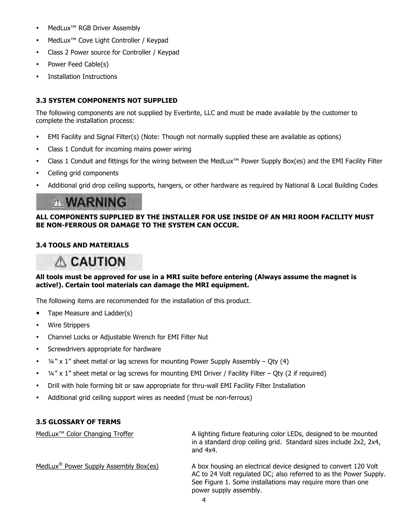- MedLux<sup>™</sup> RGB Driver Assembly
- MedLux<sup>™</sup> Cove Light Controller / Keypad
- Class 2 Power source for Controller / Keypad
- Power Feed Cable(s)
- Installation Instructions

#### **3.3 SYSTEM COMPONENTS NOT SUPPLIED**

The following components are not supplied by Everbrite, LLC and must be made available by the customer to complete the installation process:

- EMI Facility and Signal Filter(s) (Note: Though not normally supplied these are available as options)
- Class 1 Conduit for incoming mains power wiring
- Class 1 Conduit and fittings for the wiring between the MedLux™ Power Supply Box(es) and the EMI Facility Filter
- Ceiling grid components
- Additional grid drop ceiling supports, hangers, or other hardware as required by National & Local Building Codes

### **A WARNING**

#### **ALL COMPONENTS SUPPLIED BY THE INSTALLER FOR USE INSIDE OF AN MRI ROOM FACILITY MUST BE NON-FERROUS OR DAMAGE TO THE SYSTEM CAN OCCUR.**

#### **3.4 TOOLS AND MATERIALS**

### **ACAUTION**

#### **All tools must be approved for use in a MRI suite before entering (Always assume the magnet is active!). Certain tool materials can damage the MRI equipment.**

The following items are recommended for the installation of this product.

- Tape Measure and Ladder(s)
- Wire Strippers
- Channel Locks or Adjustable Wrench for EMI Filter Nut
- Screwdrivers appropriate for hardware
- $\frac{1}{4}$ " x 1" sheet metal or lag screws for mounting Power Supply Assembly Qty (4)
- $\frac{1}{4}$ " x 1" sheet metal or lag screws for mounting EMI Driver / Facility Filter Qty (2 if required)
- Drill with hole forming bit or saw appropriate for thru-wall EMI Facility Filter Installation
- Additional grid ceiling support wires as needed (must be non-ferrous)

#### **3.5 GLOSSARY OF TERMS**

MedLux<sup>™</sup> Color Changing Troffer A lighting fixture featuring color LEDs, designed to be mounted in a standard drop ceiling grid. Standard sizes include 2x2, 2x4, and 4x4. MedLux<sup>®</sup> Power Supply Assembly Box(es) A box housing an electrical device designed to convert 120 Volt AC to 24 Volt regulated DC; also referred to as the Power Supply. See Figure 1. Some installations may require more than one

power supply assembly.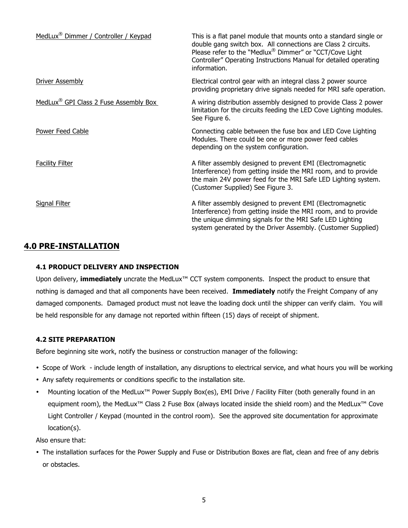| MedLux <sup>®</sup> Dimmer / Controller / Keypad  | This is a flat panel module that mounts onto a standard single or<br>double gang switch box. All connections are Class 2 circuits.<br>Please refer to the "Medlux® Dimmer" or "CCT/Cove Light<br>Controller" Operating Instructions Manual for detailed operating<br>information. |
|---------------------------------------------------|-----------------------------------------------------------------------------------------------------------------------------------------------------------------------------------------------------------------------------------------------------------------------------------|
| <b>Driver Assembly</b>                            | Electrical control gear with an integral class 2 power source<br>providing proprietary drive signals needed for MRI safe operation.                                                                                                                                               |
| MedLux <sup>®</sup> GPI Class 2 Fuse Assembly Box | A wiring distribution assembly designed to provide Class 2 power<br>limitation for the circuits feeding the LED Cove Lighting modules.<br>See Figure 6.                                                                                                                           |
| Power Feed Cable                                  | Connecting cable between the fuse box and LED Cove Lighting<br>Modules. There could be one or more power feed cables<br>depending on the system configuration.                                                                                                                    |
| <b>Facility Filter</b>                            | A filter assembly designed to prevent EMI (Electromagnetic<br>Interference) from getting inside the MRI room, and to provide<br>the main 24V power feed for the MRI Safe LED Lighting system.<br>(Customer Supplied) See Figure 3.                                                |
| Signal Filter                                     | A filter assembly designed to prevent EMI (Electromagnetic<br>Interference) from getting inside the MRI room, and to provide<br>the unique dimming signals for the MRI Safe LED Lighting<br>system generated by the Driver Assembly. (Customer Supplied)                          |

#### **4.0 PRE-INSTALLATION**

#### **4.1 PRODUCT DELIVERY AND INSPECTION**

Upon delivery, **immediately** uncrate the MedLux™ CCT system components. Inspect the product to ensure that nothing is damaged and that all components have been received. **Immediately** notify the Freight Company of any damaged components. Damaged product must not leave the loading dock until the shipper can verify claim. You will be held responsible for any damage not reported within fifteen (15) days of receipt of shipment.

#### **4.2 SITE PREPARATION**

Before beginning site work, notify the business or construction manager of the following:

- Scope of Work include length of installation, any disruptions to electrical service, and what hours you will be working
- Any safety requirements or conditions specific to the installation site.
- Mounting location of the MedLux™ Power Supply Box(es), EMI Drive / Facility Filter (both generally found in an equipment room), the MedLux™ Class 2 Fuse Box (always located inside the shield room) and the MedLux™ Cove Light Controller / Keypad (mounted in the control room). See the approved site documentation for approximate location(s).

Also ensure that:

• The installation surfaces for the Power Supply and Fuse or Distribution Boxes are flat, clean and free of any debris or obstacles.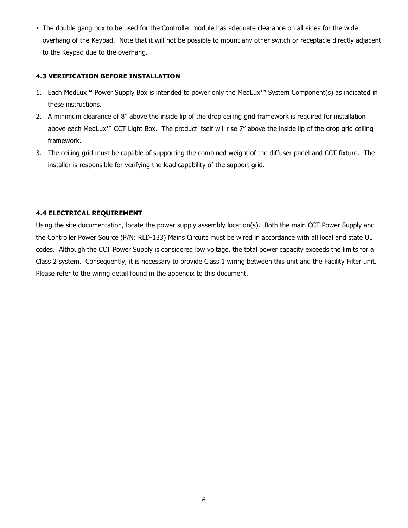• The double gang box to be used for the Controller module has adequate clearance on all sides for the wide overhang of the Keypad. Note that it will not be possible to mount any other switch or receptacle directly adjacent to the Keypad due to the overhang.

#### **4.3 VERIFICATION BEFORE INSTALLATION**

- 1. Each MedLux™ Power Supply Box is intended to power only the MedLux™ System Component(s) as indicated in these instructions.
- 2. A minimum clearance of 8" above the inside lip of the drop ceiling grid framework is required for installation above each MedLux<sup>™</sup> CCT Light Box. The product itself will rise 7" above the inside lip of the drop grid ceiling framework.
- 3. The ceiling grid must be capable of supporting the combined weight of the diffuser panel and CCT fixture. The installer is responsible for verifying the load capability of the support grid.

#### **4.4 ELECTRICAL REQUIREMENT**

Using the site documentation, locate the power supply assembly location(s). Both the main CCT Power Supply and the Controller Power Source (P/N: RLD-133) Mains Circuits must be wired in accordance with all local and state UL codes. Although the CCT Power Supply is considered low voltage, the total power capacity exceeds the limits for a Class 2 system. Consequently, it is necessary to provide Class 1 wiring between this unit and the Facility Filter unit. Please refer to the wiring detail found in the appendix to this document.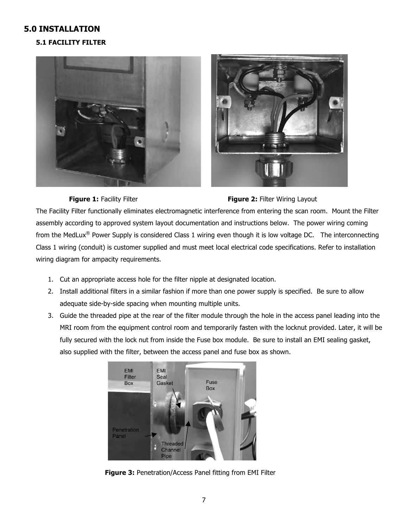#### **5.0 INSTALLATION**

#### **5.1 FACILITY FILTER**







The Facility Filter functionally eliminates electromagnetic interference from entering the scan room. Mount the Filter assembly according to approved system layout documentation and instructions below. The power wiring coming from the MedLux® Power Supply is considered Class 1 wiring even though it is low voltage DC. The interconnecting Class 1 wiring (conduit) is customer supplied and must meet local electrical code specifications. Refer to installation wiring diagram for ampacity requirements.

- 1. Cut an appropriate access hole for the filter nipple at designated location.
- 2. Install additional filters in a similar fashion if more than one power supply is specified. Be sure to allow adequate side-by-side spacing when mounting multiple units.
- 3. Guide the threaded pipe at the rear of the filter module through the hole in the access panel leading into the MRI room from the equipment control room and temporarily fasten with the locknut provided. Later, it will be fully secured with the lock nut from inside the Fuse box module. Be sure to install an EMI sealing gasket, also supplied with the filter, between the access panel and fuse box as shown.



**Figure 3:** Penetration/Access Panel fitting from EMI Filter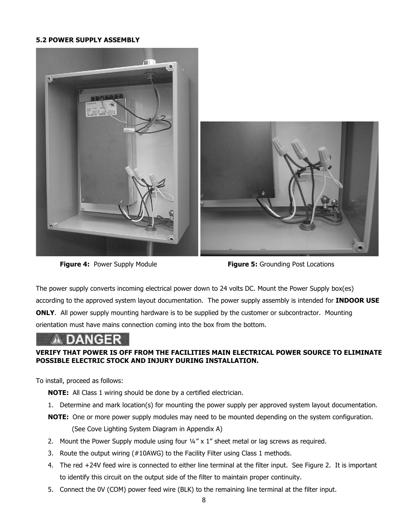#### **5.2 POWER SUPPLY ASSEMBLY**



**Figure 4:** Power Supply Module **Figure 5:** Grounding Post Locations

The power supply converts incoming electrical power down to 24 volts DC. Mount the Power Supply box(es) according to the approved system layout documentation. The power supply assembly is intended for **INDOOR USE ONLY.** All power supply mounting hardware is to be supplied by the customer or subcontractor. Mounting orientation must have mains connection coming into the box from the bottom.

#### **VERIFY THAT POWER IS OFF FROM THE FACILITIES MAIN ELECTRICAL POWER SOURCE TO ELIMINATE POSSIBLE ELECTRIC STOCK AND INJURY DURING INSTALLATION.**

To install, proceed as follows:

- **NOTE:** All Class 1 wiring should be done by a certified electrician.
- 1. Determine and mark location(s) for mounting the power supply per approved system layout documentation.
- **NOTE:** One or more power supply modules may need to be mounted depending on the system configuration. (See Cove Lighting System Diagram in Appendix A)
- 2. Mount the Power Supply module using four  $\frac{1}{4}$  x 1" sheet metal or lag screws as required.
- 3. Route the output wiring (#10AWG) to the Facility Filter using Class 1 methods.
- 4. The red +24V feed wire is connected to either line terminal at the filter input. See Figure 2. It is important to identify this circuit on the output side of the filter to maintain proper continuity.
- 5. Connect the 0V (COM) power feed wire (BLK) to the remaining line terminal at the filter input.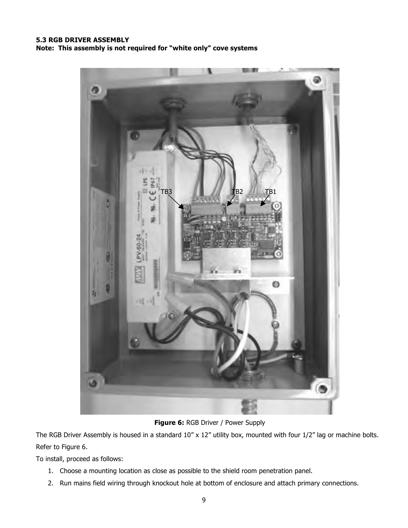#### **5.3 RGB DRIVER ASSEMBLY Note: This assembly is not required for "white only" cove systems**



**Figure 6: RGB Driver / Power Supply** 

The RGB Driver Assembly is housed in a standard 10" x 12" utility box, mounted with four 1/2" lag or machine bolts. Refer to Figure 6.

To install, proceed as follows:

- 1. Choose a mounting location as close as possible to the shield room penetration panel.
- 2. Run mains field wiring through knockout hole at bottom of enclosure and attach primary connections.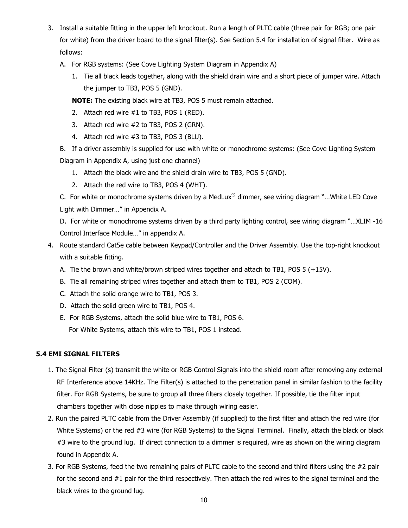- 3. Install a suitable fitting in the upper left knockout. Run a length of PLTC cable (three pair for RGB; one pair for white) from the driver board to the signal filter(s). See Section 5.4 for installation of signal filter. Wire as follows:
	- A. For RGB systems: (See Cove Lighting System Diagram in Appendix A)
		- 1. Tie all black leads together, along with the shield drain wire and a short piece of jumper wire. Attach the jumper to TB3, POS 5 (GND).
		- **NOTE:** The existing black wire at TB3, POS 5 must remain attached.
		- 2. Attach red wire #1 to TB3, POS 1 (RED).
		- 3. Attach red wire #2 to TB3, POS 2 (GRN).
		- 4. Attach red wire #3 to TB3, POS 3 (BLU).

B. If a driver assembly is supplied for use with white or monochrome systems: (See Cove Lighting System Diagram in Appendix A, using just one channel)

- 1. Attach the black wire and the shield drain wire to TB3, POS 5 (GND).
- 2. Attach the red wire to TB3, POS 4 (WHT).

C. For white or monochrome systems driven by a MedLux<sup>®</sup> dimmer, see wiring diagram "...White LED Cove Light with Dimmer…" in Appendix A.

D. For white or monochrome systems driven by a third party lighting control, see wiring diagram "…XLIM -16 Control Interface Module…" in appendix A.

- 4. Route standard Cat5e cable between Keypad/Controller and the Driver Assembly. Use the top-right knockout with a suitable fitting.
	- A. Tie the brown and white/brown striped wires together and attach to TB1, POS 5 (+15V).
	- B. Tie all remaining striped wires together and attach them to TB1, POS 2 (COM).
	- C. Attach the solid orange wire to TB1, POS 3.
	- D. Attach the solid green wire to TB1, POS 4.
	- E. For RGB Systems, attach the solid blue wire to TB1, POS 6. For White Systems, attach this wire to TB1, POS 1 instead.

#### **5.4 EMI SIGNAL FILTERS**

- 1. The Signal Filter (s) transmit the white or RGB Control Signals into the shield room after removing any external RF Interference above 14KHz. The Filter(s) is attached to the penetration panel in similar fashion to the facility filter. For RGB Systems, be sure to group all three filters closely together. If possible, tie the filter input chambers together with close nipples to make through wiring easier.
- 2. Run the paired PLTC cable from the Driver Assembly (if supplied) to the first filter and attach the red wire (for White Systems) or the red #3 wire (for RGB Systems) to the Signal Terminal. Finally, attach the black or black #3 wire to the ground lug. If direct connection to a dimmer is required, wire as shown on the wiring diagram found in Appendix A.
- 3. For RGB Systems, feed the two remaining pairs of PLTC cable to the second and third filters using the #2 pair for the second and #1 pair for the third respectively. Then attach the red wires to the signal terminal and the black wires to the ground lug.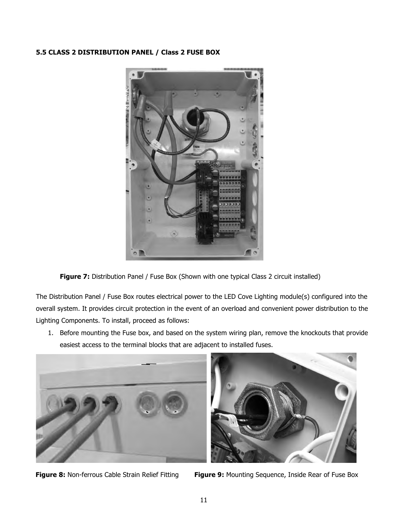#### **5.5 CLASS 2 DISTRIBUTION PANEL / Class 2 FUSE BOX**



Figure 7: Distribution Panel / Fuse Box (Shown with one typical Class 2 circuit installed)

The Distribution Panel / Fuse Box routes electrical power to the LED Cove Lighting module(s) configured into the overall system. It provides circuit protection in the event of an overload and convenient power distribution to the Lighting Components. To install, proceed as follows:

1. Before mounting the Fuse box, and based on the system wiring plan, remove the knockouts that provide easiest access to the terminal blocks that are adjacent to installed fuses.



**Figure 8:** Non-ferrous Cable Strain Relief Fitting Figure 9: Mounting Sequence, Inside Rear of Fuse Box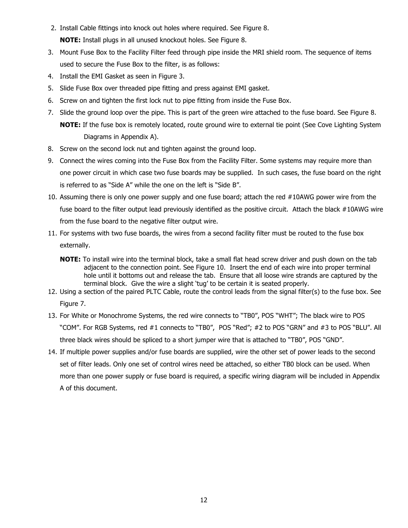- 2. Install Cable fittings into knock out holes where required. See Figure 8. **NOTE:** Install plugs in all unused knockout holes. See Figure 8.
- 3. Mount Fuse Box to the Facility Filter feed through pipe inside the MRI shield room. The sequence of items used to secure the Fuse Box to the filter, is as follows:
- 4. Install the EMI Gasket as seen in Figure 3.
- 5. Slide Fuse Box over threaded pipe fitting and press against EMI gasket.
- 6. Screw on and tighten the first lock nut to pipe fitting from inside the Fuse Box.
- 7. Slide the ground loop over the pipe. This is part of the green wire attached to the fuse board. See Figure 8. **NOTE:** If the fuse box is remotely located, route ground wire to external tie point (See Cove Lighting System Diagrams in Appendix A).
- 8. Screw on the second lock nut and tighten against the ground loop.
- 9. Connect the wires coming into the Fuse Box from the Facility Filter. Some systems may require more than one power circuit in which case two fuse boards may be supplied. In such cases, the fuse board on the right is referred to as "Side A" while the one on the left is "Side B".
- 10. Assuming there is only one power supply and one fuse board; attach the red #10AWG power wire from the fuse board to the filter output lead previously identified as the positive circuit. Attach the black #10AWG wire from the fuse board to the negative filter output wire.
- 11. For systems with two fuse boards, the wires from a second facility filter must be routed to the fuse box externally.
	- **NOTE:** To install wire into the terminal block, take a small flat head screw driver and push down on the tab adjacent to the connection point. See Figure 10. Insert the end of each wire into proper terminal hole until it bottoms out and release the tab. Ensure that all loose wire strands are captured by the terminal block. Give the wire a slight 'tug' to be certain it is seated properly.
- 12. Using a section of the paired PLTC Cable, route the control leads from the signal filter(s) to the fuse box. See Figure 7.
- 13. For White or Monochrome Systems, the red wire connects to "TB0", POS "WHT"; The black wire to POS "COM". For RGB Systems, red #1 connects to "TB0", POS "Red"; #2 to POS "GRN" and #3 to POS "BLU". All three black wires should be spliced to a short jumper wire that is attached to "TB0", POS "GND".
- 14. If multiple power supplies and/or fuse boards are supplied, wire the other set of power leads to the second set of filter leads. Only one set of control wires need be attached, so either TB0 block can be used. When more than one power supply or fuse board is required, a specific wiring diagram will be included in Appendix A of this document.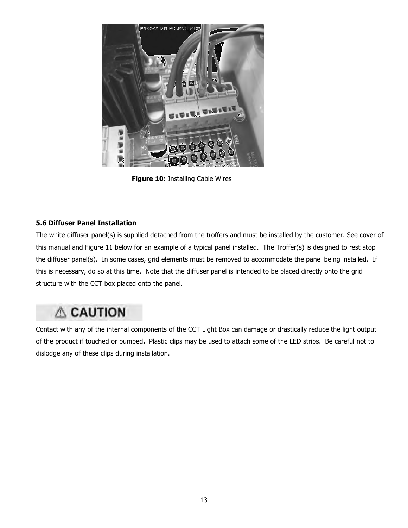

**Figure 10:** Installing Cable Wires

#### **5.6 Diffuser Panel Installation**

The white diffuser panel(s) is supplied detached from the troffers and must be installed by the customer. See cover of this manual and Figure 11 below for an example of a typical panel installed. The Troffer(s) is designed to rest atop the diffuser panel(s). In some cases, grid elements must be removed to accommodate the panel being installed. If this is necessary, do so at this time. Note that the diffuser panel is intended to be placed directly onto the grid structure with the CCT box placed onto the panel.

## **A CAUTION**

Contact with any of the internal components of the CCT Light Box can damage or drastically reduce the light output of the product if touched or bumped**.** Plastic clips may be used to attach some of the LED strips. Be careful not to dislodge any of these clips during installation.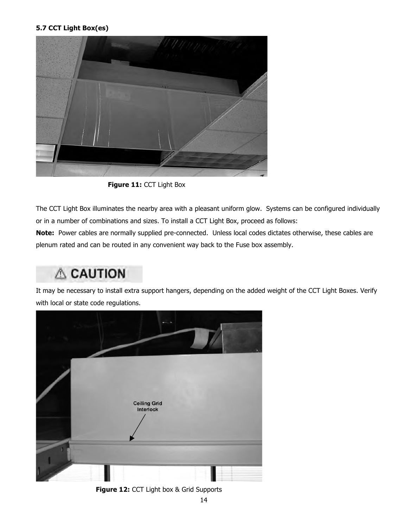#### **5.7 CCT Light Box(es)**



**Figure 11:** CCT Light Box

The CCT Light Box illuminates the nearby area with a pleasant uniform glow. Systems can be configured individually or in a number of combinations and sizes. To install a CCT Light Box, proceed as follows:

**Note:** Power cables are normally supplied pre-connected. Unless local codes dictates otherwise, these cables are plenum rated and can be routed in any convenient way back to the Fuse box assembly.

### **A CAUTION**

It may be necessary to install extra support hangers, depending on the added weight of the CCT Light Boxes. Verify with local or state code regulations.



**Figure 12:** CCT Light box & Grid Supports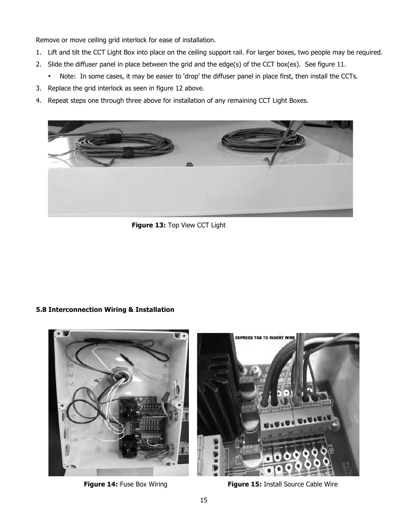Remove or move ceiling grid interlock for ease of installation.

- 1. Lift and tilt the CCT Light Box into place on the ceiling support rail. For larger boxes, two people may be required.
- 2. Slide the diffuser panel in place between the grid and the edge(s) of the CCT box(es). See figure 11.
	- Note: In some cases, it may be easier to 'drop' the diffuser panel in place first, then install the CCTs.
- 3. Replace the grid interlock as seen in figure 12 above.
- 4. Repeat steps one through three above for installation of any remaining CCT Light Boxes.



**Figure 13:** Top View CCT Light

#### **5.8 Interconnection Wiring & Installation**



**Figure 14:** Fuse Box Wiring **Figure 15:** Install Source Cable Wire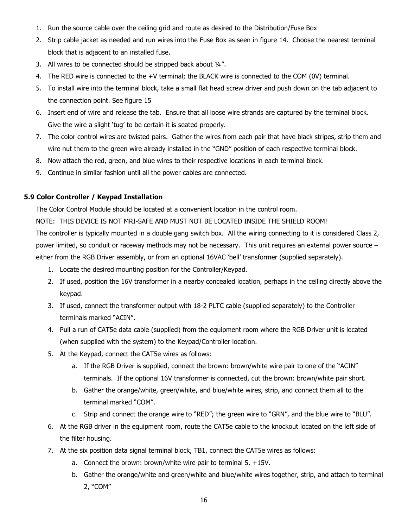- 1. Run the source cable over the ceiling grid and route as desired to the Distribution/Fuse Box
- 2. Strip cable jacket as needed and run wires into the Fuse Box as seen in figure 14. Choose the nearest terminal block that is adjacent to an installed fuse.
- 3. All wires to be connected should be stripped back about ¼".
- 4. The RED wire is connected to the +V terminal; the BLACK wire is connected to the COM (0V) terminal.
- 5. To install wire into the terminal block, take a small flat head screw driver and push down on the tab adjacent to the connection point. See figure 15
- 6. Insert end of wire and release the tab. Ensure that all loose wire strands are captured by the terminal block. Give the wire a slight 'tug' to be certain it is seated properly.
- 7. The color control wires are twisted pairs. Gather the wires from each pair that have black stripes, strip them and wire nut them to the green wire already installed in the "GND" position of each respective terminal block.
- 8. Now attach the red, green, and blue wires to their respective locations in each terminal block.
- 9. Continue in similar fashion until all the power cables are connected.

#### **5.9 Color Controller / Keypad Installation**

The Color Control Module should be located at a convenient location in the control room.

NOTE: THIS DEVICE IS NOT MRI-SAFE AND MUST NOT BE LOCATED INSIDE THE SHIELD ROOM!

The controller is typically mounted in a double gang switch box. All the wiring connecting to it is considered Class 2, power limited, so conduit or raceway methods may not be necessary. This unit requires an external power source – either from the RGB Driver assembly, or from an optional 16VAC 'bell' transformer (supplied separately).

- 1. Locate the desired mounting position for the Controller/Keypad.
- 2. If used, position the 16V transformer in a nearby concealed location, perhaps in the ceiling directly above the keypad.
- 3. If used, connect the transformer output with 18-2 PLTC cable (supplied separately) to the Controller terminals marked "ACIN".
- 4. Pull a run of CAT5e data cable (supplied) from the equipment room where the RGB Driver unit is located (when supplied with the system) to the Keypad/Controller location.
- 5. At the Keypad, connect the CAT5e wires as follows:
	- a. If the RGB Driver is supplied, connect the brown: brown/white wire pair to one of the "ACIN" terminals. If the optional 16V transformer is connected, cut the brown: brown/white pair short.
	- b. Gather the orange/white, green/white, and blue/white wires, strip, and connect them all to the terminal marked "COM".
	- c. Strip and connect the orange wire to "RED"; the green wire to "GRN", and the blue wire to "BLU".
- 6. At the RGB driver in the equipment room, route the CAT5e cable to the knockout located on the left side of the filter housing.
- 7. At the six position data signal terminal block, TB1, connect the CAT5e wires as follows:
	- a. Connect the brown: brown/white wire pair to terminal 5, +15V.
	- b. Gather the orange/white and green/white and blue/white wires together, strip, and attach to terminal 2, "COM"